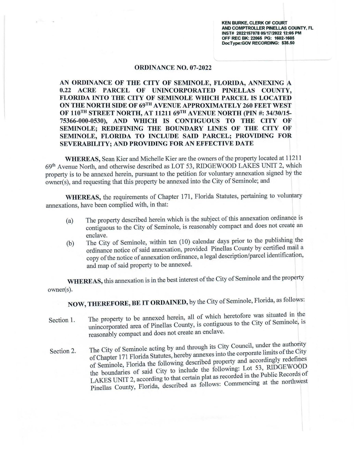**KEN BURKE, CLERK OF COURT AND COMPTROLLER PINELLAS COUNTY, FL INST# 2022157078 05/17/2022 12:05 PM OFF REC BK: 22065 PG: 1602-1605 DocType:GOV RECORDING: \$35.50** 

## **ORDINANCE NO. 07-2022**

**AN ORDINANCE OF THE CITY OF SEMINOLE, FLORIDA, ANNEXING A 0.22 ACRE PARCEL OF UNINCORPORATED PINELLAS COUNTY, FLORIDA INTO THE CITY OF SEMINOLE WHICH PARCEL IS LOCATED ON THE NORTH SIDE OF 69TH A VENUE APPROXIMATELY 260 FEET WEST OF 110<sup>TH</sup> STREET NORTH, AT 11211 69<sup>TH</sup> AVENUE NORTH (PIN #: 34/30/15-75366-000-0530), AND WHICH IS CONTIGUOUS TO THE CITY OF SEMINOLE; REDEFINING THE BOUNDARY LINES OF THE CITY OF SEMINOLE, FLORIDA TO INCLUDE SAID PARCEL; PROVIDING FOR SEVERABILITY; AND PROVIDING FOR AN EFFECTIVE DATE** 

**WHEREAS,** Sean Kier and Michelle Kier are the owners of the property located at 1121 1 69th Avenue North, and otherwise described as LOT 53, RlDGEWOOD LAKES UNIT 2, which property is to be annexed herein, pursuant to the petition for voluntary annexation signed by the owner(s), and requesting that this property be annexed into the City of Seminole; and

**WHEREAS,** the requirements of Chapter 171, Florida Statutes, pertaining to voluntary annexations, have been complied with, in that:

- The property described herein which is the subject of this annexation ordinance is (a) contiguous to the City of Seminole, is reasonably compact and does not create an enclave.
- $(b)$  The City of Seminole, within ten  $(10)$  calendar days prior to the publishing the ordinance notice of said annexation, provided Pinellas County by certified mail a copy of the notice of annexation ordinance, a legal description/parcel identification, and map of said property to be annexed.

**WHEREAS,** this annexation is in the best interest of the City of Seminole and the property owner(s).

**NOW, THEREFORE, BE IT ORDAINED,** by the City of Seminole, Florida, as follows:

- Section 1. The property to be annexed herein, all of which heretofore was situated in the unincorporated area of Pinellas County, is contiguous to the City of Seminole, is reasonably compact and does not create an enclave.
- Section 2. The City of Seminole acting by and through its City Council, under the authority of Chapter 171 Florida Statutes, hereby annexes into the corporate limits of the City of Seminole, Florida the following described property and accordingly redefines the boundaries of said City to include the following: Lot 53, RIDGEWOOD LAKES UNIT 2, according to that certain plat as recorded in the Public Records of Pinellas County, Florida, described as follows: Commencing at the northwest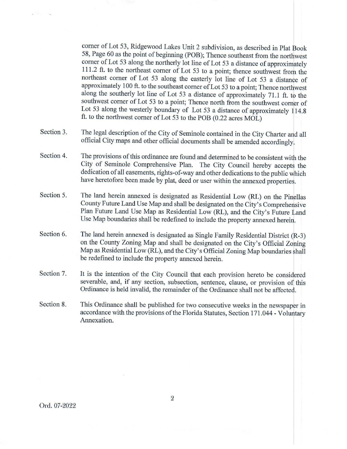comer of Lot 53, Ridgewood Lakes Unit 2 subdivision, as described in Plat Book 58, Page 60 as the point of beginning (POB); Thence southeast from the northwest comer of Lot 53 along the northerly lot line of Lot 53 a distance of approximately 111.2 ft. to the northeast comer of Lot 53 to a point; thence southwest from the northeast comer of Lot 53 along the easterly lot line of Lot 53 a distance of approximately 100 ft. to the southeast comer of Lot 53 to a point; Thence northwest along the southerly lot line of Lot 53 a distance of approximately 71.1 ft. to the southwest comer of Lot 53 to a point; Thence north from the southwest comer of Lot 53 along the westerly boundary of Lot 53 a distance of approximately 114.8 ft. to the northwest comer of Lot 53 to the POB (0.22 acres MOL)

- Section 3. The legal description of the City of Seminole contained in the City Charter and all official City maps and other official documents shall be amended accordingly.
- Section 4. The provisions of this ordinance are found and determined to be consistent with the City of Seminole Comprehensive Plan. The City Council hereby accepts the dedication of all easements, rights-of-way and other dedications to the public which have heretofore been made by plat, deed or user within the annexed properties.
- Section 5. The land herein annexed is designated as Residential Low (RL) on the Pinellas County Future Land Use Map and shall be designated on the City's Comprehensive Plan Future Land Use Map as Residential Low (RL), and the City's Future Land Use Map boundaries shall be redefined to include the property annexed herein.
- Section 6. The land herein annexed is designated as Single Family Residential District  $(R-3)$ on the County Zoning Map and shall be designated on the City's Official Zoning Map as Residential Low (RL), and the City's Official Zoning Map boundaries shall be redefined to include the property annexed herein.
- Section 7. It is the intention of the City Council that each provision hereto be considered severable, and, if any section, subsection, sentence, clause, or provision of this Ordinance is held invalid, the remainder of the Ordinance shall not be affected.
- Section 8. This Ordinance shall be published for two consecutive weeks in the newspaper in accordance with the provisions of the Florida Statutes, Section 171.044 - Voluntary Annexation.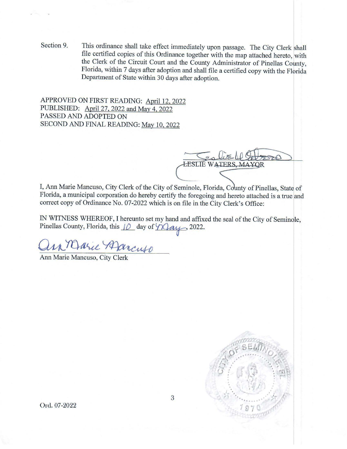Section 9. This ordinance shall take effect immediately upon passage. The City Clerk shall file certified copies of this Ordinance together with the map attached hereto, with the Clerk of the Circuit Court and the County Administrator of Pinellas County, Florida, within 7 days after adoption and shall file a certified copy with the Florida Department of State within 30 days after adoption.

APPROVED ON FIRST READING: April 12, 2022 PUBLISHED: April 27, 2022 and May 4, 2022 PASSED AND ADOPTED ON SECOND AND FINAL READING: May 10, 2022

**LESLIE WATERS, MAYOR** 

I, Ann Marie Mancuso, City Clerk of the City of Seminole, Florida, County of Pinellas, State of Florida, a municipal corporation do hereby certify the foregoing and hereto attached is a true and correct copy of Ordinance No. 07-2022 which is on file in the City Clerk's Office:

IN WITNESS WHEREOF, I hereunto set my hand and affixed the seal of the City of Seminole, Pinellas County, Florida, this  $10$  day of  $\sqrt{2}ay$ , 2022.

ann Marie Mancuso



Ord. 07-2022